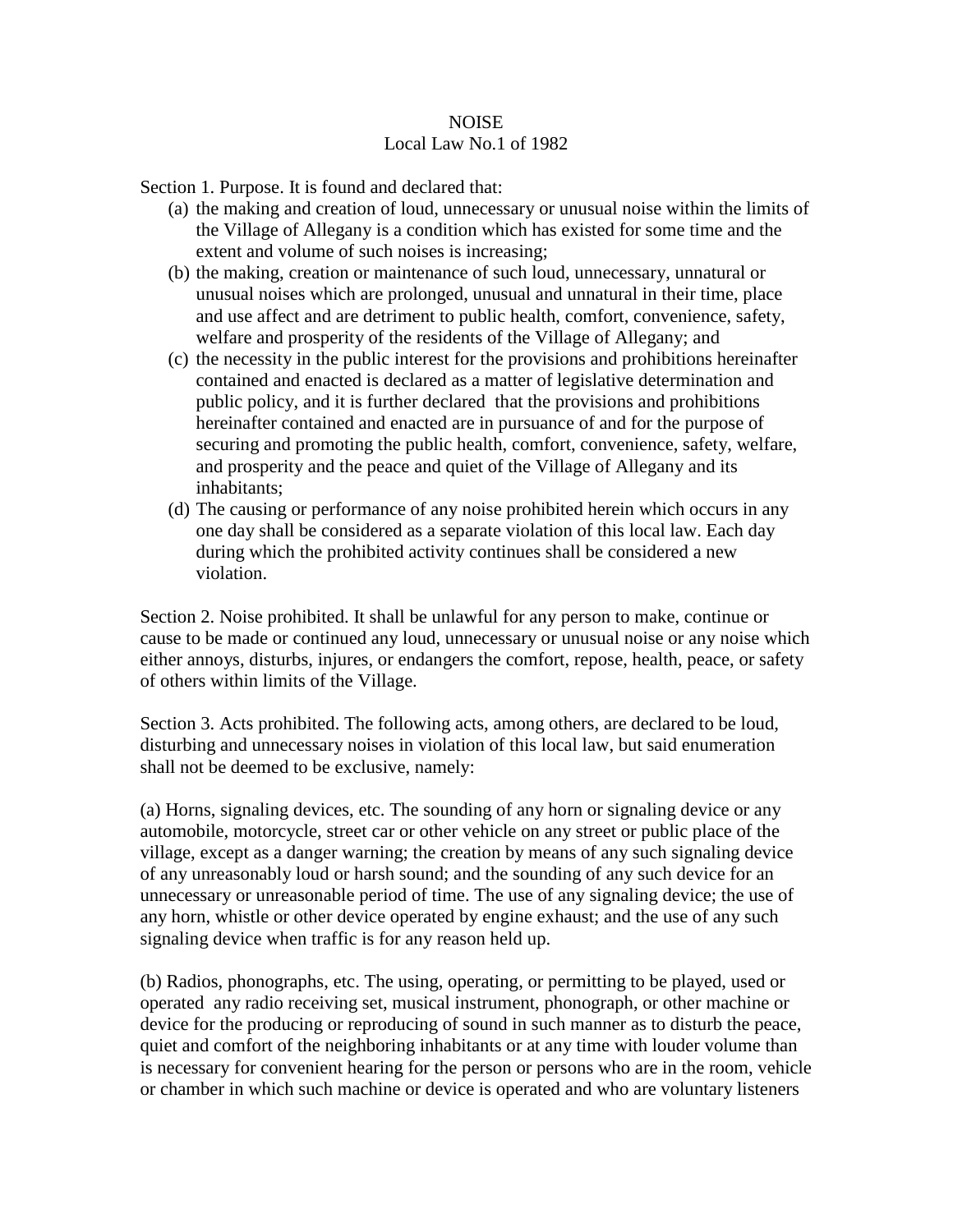## NOISE Local Law No.1 of 1982

Section 1. Purpose. It is found and declared that:

- (a) the making and creation of loud, unnecessary or unusual noise within the limits of the Village of Allegany is a condition which has existed for some time and the extent and volume of such noises is increasing;
- (b) the making, creation or maintenance of such loud, unnecessary, unnatural or unusual noises which are prolonged, unusual and unnatural in their time, place and use affect and are detriment to public health, comfort, convenience, safety, welfare and prosperity of the residents of the Village of Allegany; and
- (c) the necessity in the public interest for the provisions and prohibitions hereinafter contained and enacted is declared as a matter of legislative determination and public policy, and it is further declared that the provisions and prohibitions hereinafter contained and enacted are in pursuance of and for the purpose of securing and promoting the public health, comfort, convenience, safety, welfare, and prosperity and the peace and quiet of the Village of Allegany and its inhabitants;
- (d) The causing or performance of any noise prohibited herein which occurs in any one day shall be considered as a separate violation of this local law. Each day during which the prohibited activity continues shall be considered a new violation.

Section 2. Noise prohibited. It shall be unlawful for any person to make, continue or cause to be made or continued any loud, unnecessary or unusual noise or any noise which either annoys, disturbs, injures, or endangers the comfort, repose, health, peace, or safety of others within limits of the Village.

Section 3. Acts prohibited. The following acts, among others, are declared to be loud, disturbing and unnecessary noises in violation of this local law, but said enumeration shall not be deemed to be exclusive, namely:

(a) Horns, signaling devices, etc. The sounding of any horn or signaling device or any automobile, motorcycle, street car or other vehicle on any street or public place of the village, except as a danger warning; the creation by means of any such signaling device of any unreasonably loud or harsh sound; and the sounding of any such device for an unnecessary or unreasonable period of time. The use of any signaling device; the use of any horn, whistle or other device operated by engine exhaust; and the use of any such signaling device when traffic is for any reason held up.

(b) Radios, phonographs, etc. The using, operating, or permitting to be played, used or operated any radio receiving set, musical instrument, phonograph, or other machine or device for the producing or reproducing of sound in such manner as to disturb the peace, quiet and comfort of the neighboring inhabitants or at any time with louder volume than is necessary for convenient hearing for the person or persons who are in the room, vehicle or chamber in which such machine or device is operated and who are voluntary listeners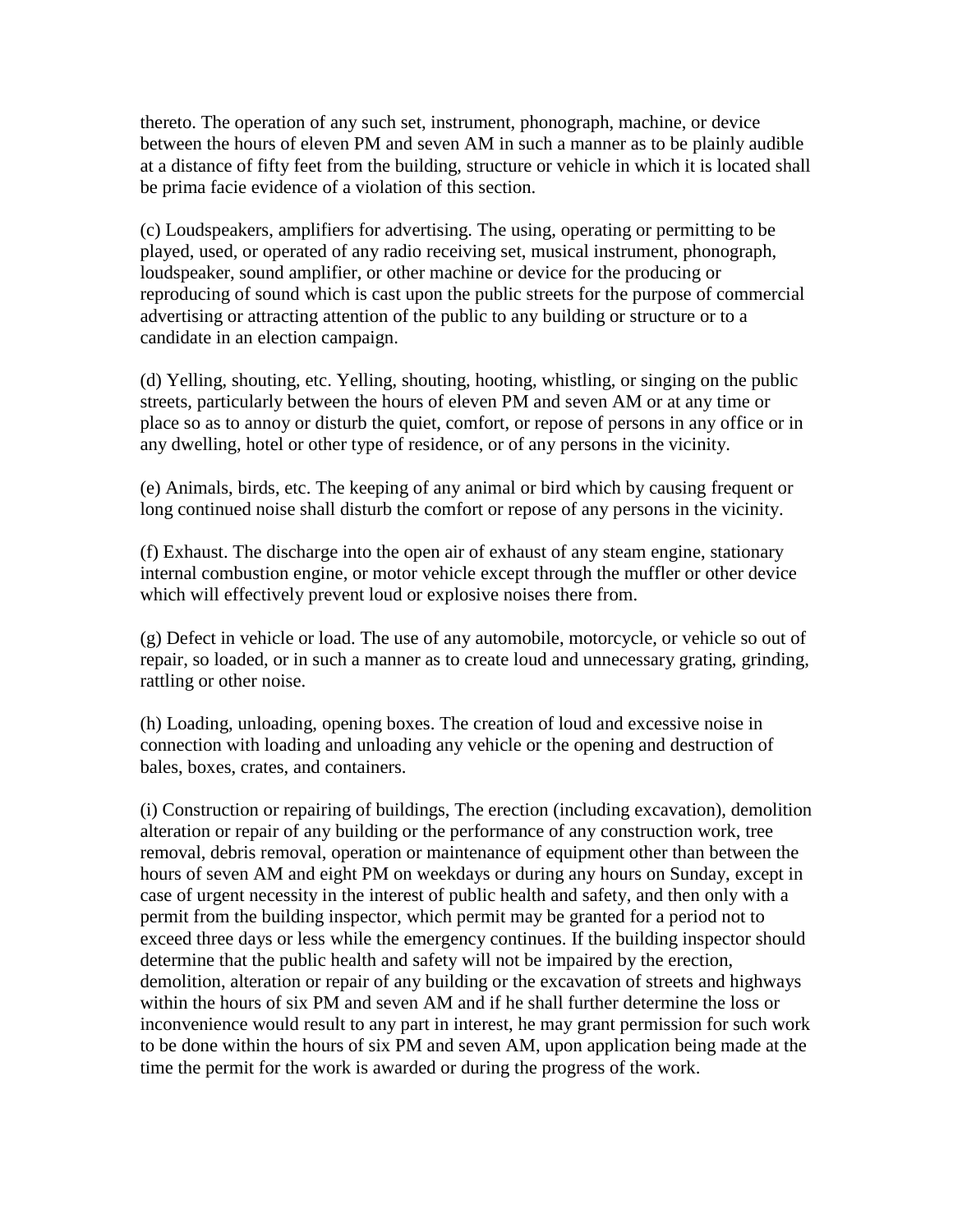thereto. The operation of any such set, instrument, phonograph, machine, or device between the hours of eleven PM and seven AM in such a manner as to be plainly audible at a distance of fifty feet from the building, structure or vehicle in which it is located shall be prima facie evidence of a violation of this section.

(c) Loudspeakers, amplifiers for advertising. The using, operating or permitting to be played, used, or operated of any radio receiving set, musical instrument, phonograph, loudspeaker, sound amplifier, or other machine or device for the producing or reproducing of sound which is cast upon the public streets for the purpose of commercial advertising or attracting attention of the public to any building or structure or to a candidate in an election campaign.

(d) Yelling, shouting, etc. Yelling, shouting, hooting, whistling, or singing on the public streets, particularly between the hours of eleven PM and seven AM or at any time or place so as to annoy or disturb the quiet, comfort, or repose of persons in any office or in any dwelling, hotel or other type of residence, or of any persons in the vicinity.

(e) Animals, birds, etc. The keeping of any animal or bird which by causing frequent or long continued noise shall disturb the comfort or repose of any persons in the vicinity.

(f) Exhaust. The discharge into the open air of exhaust of any steam engine, stationary internal combustion engine, or motor vehicle except through the muffler or other device which will effectively prevent loud or explosive noises there from.

(g) Defect in vehicle or load. The use of any automobile, motorcycle, or vehicle so out of repair, so loaded, or in such a manner as to create loud and unnecessary grating, grinding, rattling or other noise.

(h) Loading, unloading, opening boxes. The creation of loud and excessive noise in connection with loading and unloading any vehicle or the opening and destruction of bales, boxes, crates, and containers.

(i) Construction or repairing of buildings, The erection (including excavation), demolition alteration or repair of any building or the performance of any construction work, tree removal, debris removal, operation or maintenance of equipment other than between the hours of seven AM and eight PM on weekdays or during any hours on Sunday, except in case of urgent necessity in the interest of public health and safety, and then only with a permit from the building inspector, which permit may be granted for a period not to exceed three days or less while the emergency continues. If the building inspector should determine that the public health and safety will not be impaired by the erection, demolition, alteration or repair of any building or the excavation of streets and highways within the hours of six PM and seven AM and if he shall further determine the loss or inconvenience would result to any part in interest, he may grant permission for such work to be done within the hours of six PM and seven AM, upon application being made at the time the permit for the work is awarded or during the progress of the work.